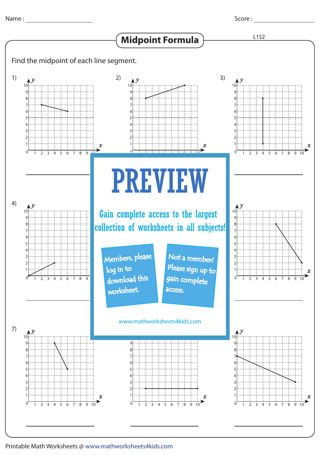